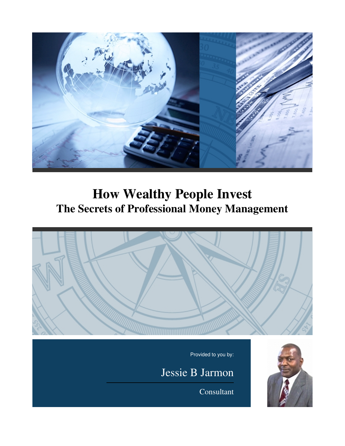

# **How Wealthy People Invest The Secrets of Professional Money Management**



Consultant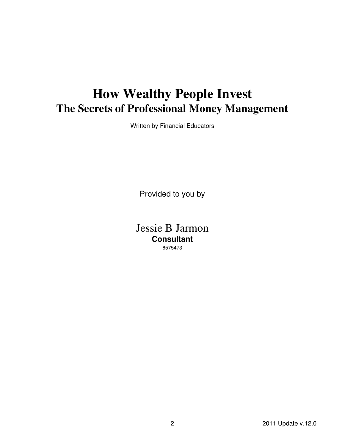# **How Wealthy People Invest The Secrets of Professional Money Management**

Written by Financial Educators

Provided to you by

Jessie B Jarmon **Consultant** 6575473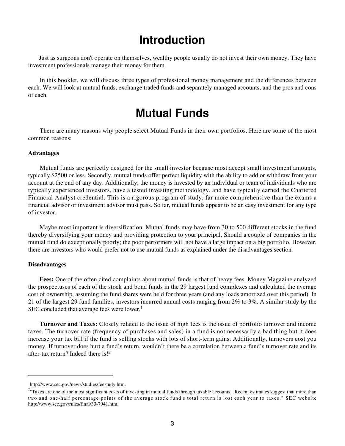## **Introduction**

 Just as surgeons don't operate on themselves, wealthy people usually do not invest their own money. They have investment professionals manage their money for them.

 In this booklet, we will discuss three types of professional money management and the differences between each. We will look at mutual funds, exchange traded funds and separately managed accounts, and the pros and cons of each.

## **Mutual Funds**

 There are many reasons why people select Mutual Funds in their own portfolios. Here are some of the most common reasons:

#### **Advantages**

 Mutual funds are perfectly designed for the small investor because most accept small investment amounts, typically \$2500 or less. Secondly, mutual funds offer perfect liquidity with the ability to add or withdraw from your account at the end of any day. Additionally, the money is invested by an individual or team of individuals who are typically experienced investors, have a tested investing methodology, and have typically earned the Chartered Financial Analyst credential. This is a rigorous program of study, far more comprehensive than the exams a financial advisor or investment advisor must pass. So far, mutual funds appear to be an easy investment for any type of investor.

 Maybe most important is diversification. Mutual funds may have from 30 to 500 different stocks in the fund thereby diversifying your money and providing protection to your principal. Should a couple of companies in the mutual fund do exceptionally poorly; the poor performers will not have a large impact on a big portfolio. However, there are investors who would prefer not to use mutual funds as explained under the disadvantages section.

#### **Disadvantages**

**Fees:** One of the often cited complaints about mutual funds is that of heavy fees. Money Magazine analyzed the prospectuses of each of the stock and bond funds in the 29 largest fund complexes and calculated the average cost of ownership, assuming the fund shares were held for three years (and any loads amortized over this period). In 21 of the largest 29 fund families, investors incurred annual costs ranging from 2% to 3%. A similar study by the SEC concluded that average fees were lower.<sup>1</sup>

**Turnover and Taxes:** Closely related to the issue of high fees is the issue of portfolio turnover and income taxes. The turnover rate (frequency of purchases and sales) in a fund is not necessarily a bad thing but it does increase your tax bill if the fund is selling stocks with lots of short-term gains. Additionally, turnovers cost you money. If turnover does hurt a fund's return, wouldn't there be a correlation between a fund's turnover rate and its after-tax return? Indeed there is!<sup>2</sup>

<sup>&</sup>lt;sup>1</sup>http://www.sec.gov/news/studies/feestudy.htm.

 $2<sup>2</sup>$ "Taxes are one of the most significant costs of investing in mutual funds through taxable accounts Recent estimates suggest that more than two and one-half percentage points of the average stock fund's total return is lost each year to taxes." SEC website http://www.sec.gov/rules/final/33-7941.htm.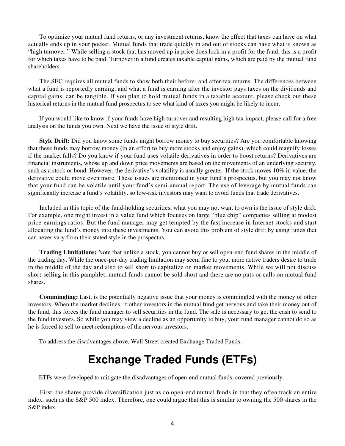To optimize your mutual fund returns, or any investment returns, know the effect that taxes can have on what actually ends up in your pocket. Mutual funds that trade quickly in and out of stocks can have what is known as "high turnover." While selling a stock that has moved up in price does lock in a profit for the fund, this is a profit for which taxes have to be paid. Turnover in a fund creates taxable capital gains, which are paid by the mutual fund shareholders.

 The SEC requires all mutual funds to show both their before- and after-tax returns. The differences between what a fund is reportedly earning, and what a fund is earning after the investor pays taxes on the dividends and capital gains, can be tangible. If you plan to hold mutual funds in a taxable account, please check out these historical returns in the mutual fund prospectus to see what kind of taxes you might be likely to incur.

 If you would like to know if your funds have high turnover and resulting high tax impact, please call for a free analysis on the funds you own. Next we have the issue of style drift.

**Style Drift:** Did you know some funds might borrow money to buy securities? Are you comfortable knowing that these funds may borrow money (in an effort to buy more stocks and enjoy gains), which could magnify losses if the market falls? Do you know if your fund uses volatile derivatives in order to boost returns? Derivatives are financial instruments, whose up and down price movements are based on the movements of an underlying security, such as a stock or bond. However, the derivative's volatility is usually greater. If the stock moves 10% in value, the derivative could move even more. These issues are mentioned in your fund's prospectus, but you may not know that your fund can be volatile until your fund's semi-annual report. The use of leverage by mutual funds can significantly increase a fund's volatility, so low-risk investors may want to avoid funds that trade derivatives.

 Included in this topic of the fund-holding securities, what you may not want to own is the issue of style drift. For example, one might invest in a value fund which focuses on large "blue chip" companies selling at modest price-earnings ratios. But the fund manager may get tempted by the fast increase in Internet stocks and start allocating the fund's money into these investments. You can avoid this problem of style drift by using funds that can never vary from their stated style in the prospectus.

**Trading Limitations:** Note that unlike a stock, you cannot buy or sell open-end fund shares in the middle of the trading day. While the once-per-day trading limitation may seem fine to you, more active traders desire to trade in the middle of the day and also to sell short to capitalize on market movements. While we will not discuss short-selling in this pamphlet, mutual funds cannot be sold short and there are no puts or calls on mutual fund shares.

**Commingling:** Last, is the potentially negative issue that your money is commingled with the money of other investors. When the market declines, if other investors in the mutual fund get nervous and take their money out of the fund, this forces the fund manager to sell securities in the fund. The sale is necessary to get the cash to send to the fund investors. So while you may view a decline as an opportunity to buy, your fund manager cannot do so as he is forced to sell to meet redemptions of the nervous investors.

To address the disadvantages above, Wall Street created Exchange Traded Funds.

# **Exchange Traded Funds (ETFs)**

ETFs were developed to mitigate the disadvantages of open-end mutual funds, covered previously.

 First, the shares provide diversification just as do open-end mutual funds in that they often track an entire index, such as the S&P 500 index. Therefore, one could argue that this is similar to owning the 500 shares in the S&P index.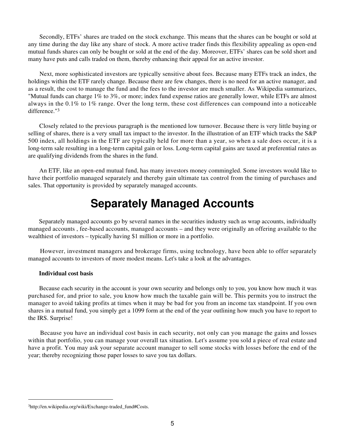Secondly, ETFs' shares are traded on the stock exchange. This means that the shares can be bought or sold at any time during the day like any share of stock. A more active trader finds this flexibility appealing as open-end mutual funds shares can only be bought or sold at the end of the day. Moreover, ETFs' shares can be sold short and many have puts and calls traded on them, thereby enhancing their appeal for an active investor.

 Next, more sophisticated investors are typically sensitive about fees. Because many ETFs track an index, the holdings within the ETF rarely change. Because there are few changes, there is no need for an active manager, and as a result, the cost to manage the fund and the fees to the investor are much smaller. As Wikipedia summarizes, "Mutual funds can charge 1% to 3%, or more; index fund expense ratios are generally lower, while ETFs are almost always in the 0.1% to 1% range. Over the long term, these cost differences can compound into a noticeable difference."<sup>3</sup>

 Closely related to the previous paragraph is the mentioned low turnover. Because there is very little buying or selling of shares, there is a very small tax impact to the investor. In the illustration of an ETF which tracks the S&P 500 index, all holdings in the ETF are typically held for more than a year, so when a sale does occur, it is a long-term sale resulting in a long-term capital gain or loss. Long-term capital gains are taxed at preferential rates as are qualifying dividends from the shares in the fund.

 An ETF, like an open-end mutual fund, has many investors money commingled. Some investors would like to have their portfolio managed separately and thereby gain ultimate tax control from the timing of purchases and sales. That opportunity is provided by separately managed accounts.

## **Separately Managed Accounts**

 Separately managed accounts go by several names in the securities industry such as wrap accounts, individually managed accounts , fee-based accounts, managed accounts – and they were originally an offering available to the wealthiest of investors – typically having \$1 million or more in a portfolio.

 However, investment managers and brokerage firms, using technology, have been able to offer separately managed accounts to investors of more modest means. Let's take a look at the advantages.

#### **Individual cost basis**

 Because each security in the account is your own security and belongs only to you, you know how much it was purchased for, and prior to sale, you know how much the taxable gain will be. This permits you to instruct the manager to avoid taking profits at times when it may be bad for you from an income tax standpoint. If you own shares in a mutual fund, you simply get a 1099 form at the end of the year outlining how much you have to report to the IRS. Surprise!

 Because you have an individual cost basis in each security, not only can you manage the gains and losses within that portfolio, you can manage your overall tax situation. Let's assume you sold a piece of real estate and have a profit. You may ask your separate account manager to sell some stocks with losses before the end of the year; thereby recognizing those paper losses to save you tax dollars.

<sup>3</sup>http://en.wikipedia.org/wiki/Exchange-traded\_fund#Costs.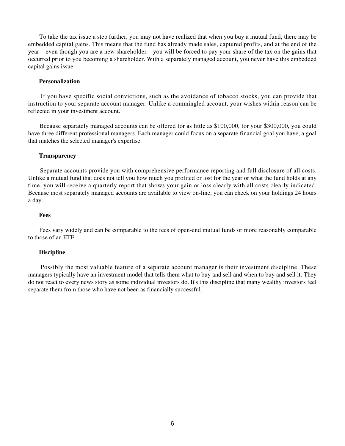To take the tax issue a step further, you may not have realized that when you buy a mutual fund, there may be embedded capital gains. This means that the fund has already made sales, captured profits, and at the end of the year – even though you are a new shareholder – you will be forced to pay your share of the tax on the gains that occurred prior to you becoming a shareholder. With a separately managed account, you never have this embedded capital gains issue.

#### **Personalization**

 If you have specific social convictions, such as the avoidance of tobacco stocks, you can provide that instruction to your separate account manager. Unlike a commingled account, your wishes within reason can be reflected in your investment account.

 Because separately managed accounts can be offered for as little as \$100,000, for your \$300,000, you could have three different professional managers. Each manager could focus on a separate financial goal you have, a goal that matches the selected manager's expertise.

#### **Transparency**

 Separate accounts provide you with comprehensive performance reporting and full disclosure of all costs. Unlike a mutual fund that does not tell you how much you profited or lost for the year or what the fund holds at any time, you will receive a quarterly report that shows your gain or loss clearly with all costs clearly indicated. Because most separately managed accounts are available to view on-line, you can check on your holdings 24 hours a day.

#### **Fees**

 Fees vary widely and can be comparable to the fees of open-end mutual funds or more reasonably comparable to those of an ETF.

#### **Discipline**

 Possibly the most valuable feature of a separate account manager is their investment discipline. These managers typically have an investment model that tells them what to buy and sell and when to buy and sell it. They do not react to every news story as some individual investors do. It's this discipline that many wealthy investors feel separate them from those who have not been as financially successful.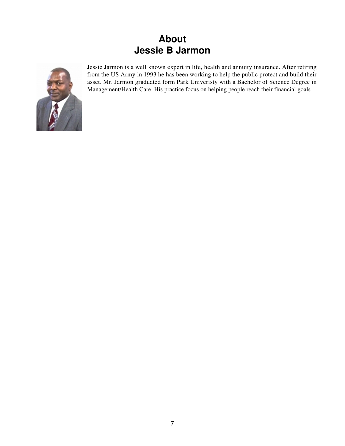### **About Jessie B Jarmon**



Jessie Jarmon is a well known expert in life, health and annuity insurance. After retiring from the US Army in 1993 he has been working to help the public protect and build their asset. Mr. Jarmon graduated form Park Univeristy with a Bachelor of Science Degree in Management/Health Care. His practice focus on helping people reach their financial goals.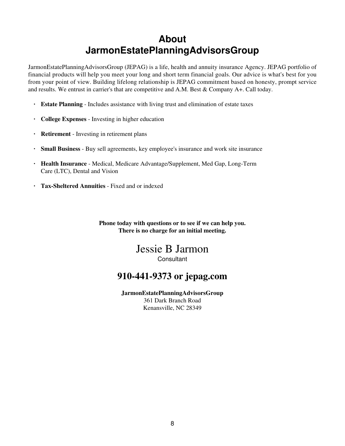### **About JarmonEstatePlanningAdvisorsGroup**

JarmonEstatePlanningAdvisorsGroup (JEPAG) is a life, health and annuity insurance Agency. JEPAG portfolio of financial products will help you meet your long and short term financial goals. Our advice is what's best for you from your point of view. Building lifelong relationship is JEPAG commitment based on honesty, prompt service and results. We entrust in carrier's that are competitive and A.M. Best & Company A+. Call today.

- **· Estate Planning** Includes assistance with living trust and elimination of estate taxes
- **· College Expenses** Investing in higher education
- **· Retirement** Investing in retirement plans
- **· Small Business** Buy sell agreements, key employee's insurance and work site insurance
- **· Health Insurance** Medical, Medicare Advantage/Supplement, Med Gap, Long-Term Care (LTC), Dental and Vision
- **· Tax-Sheltered Annuities** Fixed and or indexed

**Phone today with questions or to see if we can help you. There is no charge for an initial meeting.**

### Jessie B Jarmon **Consultant**

### **910-441-9373 or jepag.com**

**JarmonEstatePlanningAdvisorsGroup** 361 Dark Branch Road Kenansville, NC 28349